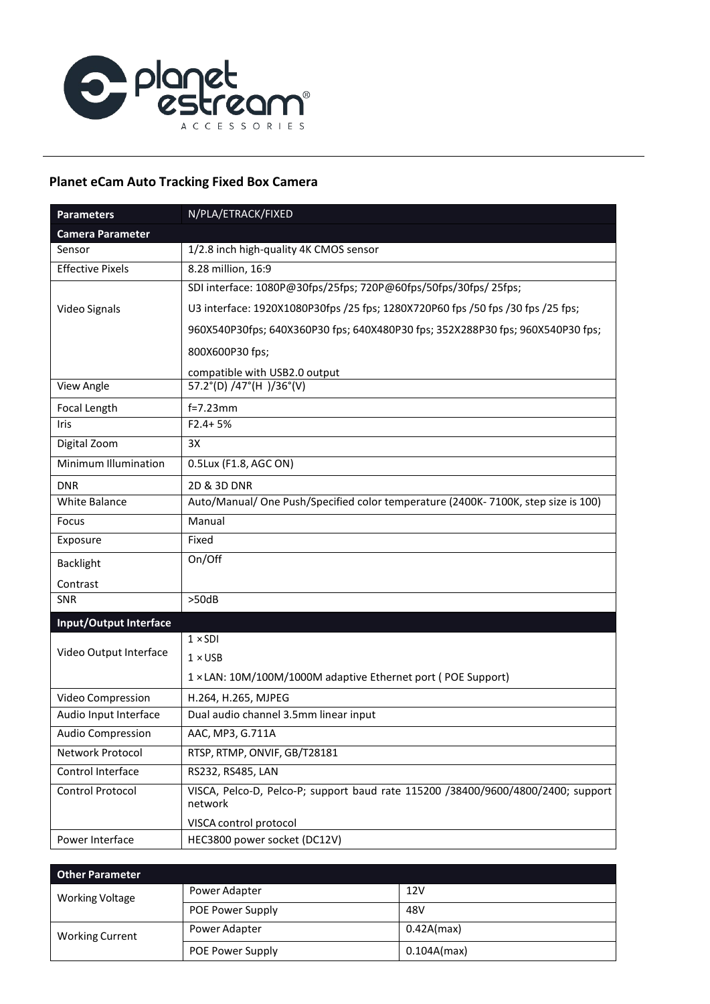

## **Planet eCam Auto Tracking Fixed Box Camera**

| <b>Parameters</b>             | N/PLA/ETRACK/FIXED                                                                          |
|-------------------------------|---------------------------------------------------------------------------------------------|
| <b>Camera Parameter</b>       |                                                                                             |
| Sensor                        | 1/2.8 inch high-quality 4K CMOS sensor                                                      |
| <b>Effective Pixels</b>       | 8.28 million, 16:9                                                                          |
|                               | SDI interface: 1080P@30fps/25fps; 720P@60fps/50fps/30fps/ 25fps;                            |
| Video Signals                 | U3 interface: 1920X1080P30fps /25 fps; 1280X720P60 fps /50 fps /30 fps /25 fps;             |
|                               | 960X540P30fps; 640X360P30 fps; 640X480P30 fps; 352X288P30 fps; 960X540P30 fps;              |
|                               | 800X600P30 fps;                                                                             |
|                               | compatible with USB2.0 output                                                               |
| View Angle                    | 57.2°(D) /47°(H)/36°(V)                                                                     |
| Focal Length                  | $f=7.23$ mm                                                                                 |
| Iris                          | $F2.4 + 5%$                                                                                 |
| Digital Zoom                  | 3X                                                                                          |
| Minimum Illumination          | 0.5Lux (F1.8, AGC ON)                                                                       |
| <b>DNR</b>                    | 2D & 3D DNR                                                                                 |
| <b>White Balance</b>          | Auto/Manual/ One Push/Specified color temperature (2400K-7100K, step size is 100)           |
| Focus                         | Manual                                                                                      |
| Exposure                      | Fixed                                                                                       |
| Backlight                     | On/Off                                                                                      |
| Contrast                      |                                                                                             |
| SNR                           | >50dB                                                                                       |
| <b>Input/Output Interface</b> |                                                                                             |
| Video Output Interface        | $1 \times SDI$                                                                              |
|                               | $1 \times$ USB                                                                              |
|                               | 1 × LAN: 10M/100M/1000M adaptive Ethernet port (POE Support)                                |
| Video Compression             | H.264, H.265, MJPEG                                                                         |
| Audio Input Interface         | Dual audio channel 3.5mm linear input                                                       |
| <b>Audio Compression</b>      | AAC, MP3, G.711A                                                                            |
| Network Protocol              | RTSP, RTMP, ONVIF, GB/T28181                                                                |
| Control Interface             | RS232, RS485, LAN                                                                           |
| Control Protocol              | VISCA, Pelco-D, Pelco-P; support baud rate 115200 /38400/9600/4800/2400; support<br>network |
|                               | VISCA control protocol                                                                      |
| Power Interface               | HEC3800 power socket (DC12V)                                                                |

| <b>Other Parameter</b> |                         |             |
|------------------------|-------------------------|-------------|
| <b>Working Voltage</b> | Power Adapter           | 12V         |
|                        | <b>POE Power Supply</b> | 48V         |
| <b>Working Current</b> | Power Adapter           | 0.42A(max)  |
|                        | POE Power Supply        | 0.104A(max) |